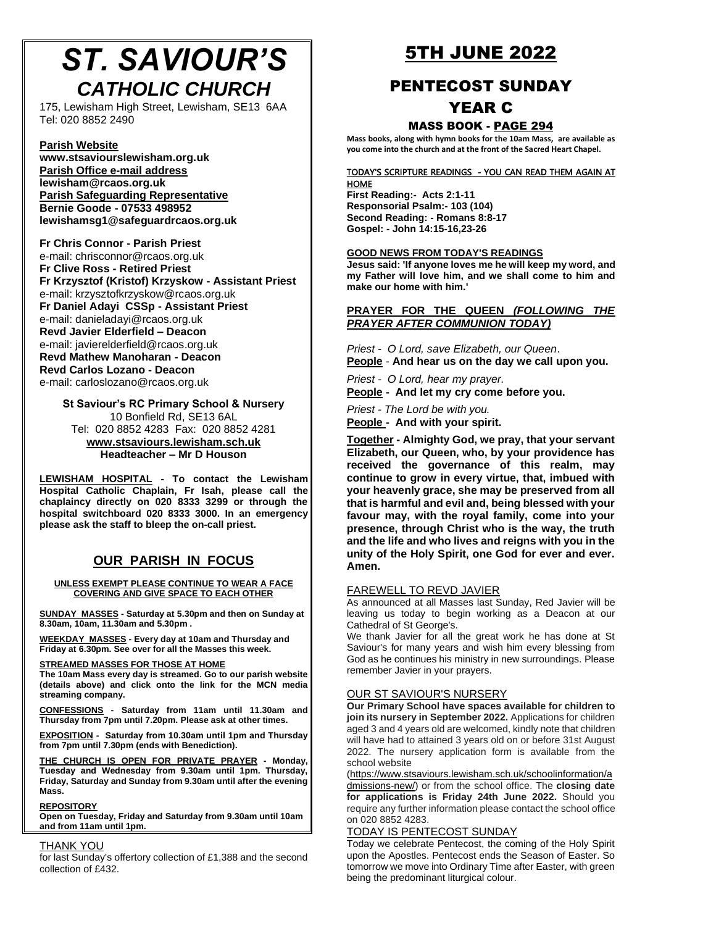# *ST. SAVIOUR'S CATHOLIC CHURCH*

[175, Lewisham High Street, Lewish](http://www.stsaviourslewisham.org/)am, SE13 6AA Tel: 020 8852 2490

# **Parish Website**

**www.stsaviourslewisham.org.uk Parish Office e-mail address lewisham@rcaos.org.uk Parish Safeguarding Representative Bernie Goode - 07533 498952 lewishamsg1@safeguardrcaos.org.uk**

**Fr Chris Connor - Parish Priest** e-mail: chrisconnor@rcaos.org.uk **Fr Clive Ross - Retired Priest Fr Krzysztof (Kristof) Krzyskow - Assistant Priest** e-mail: krzysztofkrzyskow@rcaos.org.uk **Fr Daniel Adayi CSSp - Assistant Priest** e-mail: danieladayi@rcaos.org.uk **Revd Javier Elderfield – Deacon** e-mail: javierelderfield@rcaos.org.uk **Revd Mathew Manoharan - Deacon Revd Carlos Lozano - Deacon** e-mail: carloslozano@rcaos.org.uk

**St S[aviour's RC Primary School & Nursery](http://www.stsaviours.lewisham.sch.uk/)** 10 Bonfield Rd, SE13 6AL Tel: 020 8852 4283 Fax: 020 8852 4281 **www.stsaviours.lewisham.sch.uk Headteacher – Mr D Houson** 

**LEWISHAM HOSPITAL - To contact the Lewisham Hospital Catholic Chaplain, Fr Isah, please call the chaplaincy directly on 020 8333 3299 or through the hospital switchboard 020 8333 3000. In an emergency please ask the staff to bleep the on-call priest.** 

# **OUR PARISH IN FOCUS**

#### **UNLESS EXEMPT PLEASE CONTINUE TO WEAR A FACE COVERING AND GIVE SPACE TO EACH OTHER**

**SUNDAY MASSES - Saturday at 5.30pm and then on Sunday at 8.30am, 10am, 11.30am and 5.30pm .**

**WEEKDAY MASSES - Every day at 10am and Thursday and Friday at 6.30pm. See over for all the Masses this week.**

#### **STREAMED MASSES FOR THOSE AT HOME**

**The 10am Mass every day is streamed. Go to our parish website (details above) and click onto the link for the MCN media streaming company.**

**CONFESSIONS - Saturday from 11am until 11.30am and Thursday from 7pm until 7.20pm. Please ask at other times.**

**EXPOSITION - Saturday from 10.30am until 1pm and Thursday from 7pm until 7.30pm (ends with Benediction).**

**THE CHURCH IS OPEN FOR PRIVATE PRAYER - Monday, Tuesday and Wednesday from 9.30am until 1pm. Thursday, Friday, Saturday and Sunday from 9.30am until after the evening Mass.**

#### **REPOSITORY**

**Open on Tuesday, Friday and Saturday from 9.30am until 10am and from 11am until 1pm.**

### THANK YOU

for last Sunday's offertory collection of £1,388 and the second collection of £432.

# 5TH JUNE 2022

# PENTECOST SUNDAY

# YEAR C

# MASS BOOK - PAGE 294

**Mass books, along with hymn books for the 10am Mass, are available as you come into the church and at the front of the Sacred Heart Chapel.**

#### TODAY'S SCRIPTURE READINGS - YOU CAN READ THEM AGAIN AT **HOME**

**First Reading:- Acts 2:1-11 Responsorial Psalm:- 103 (104) Second Reading: - Romans 8:8-17 Gospel: - John 14:15-16,23-26**

### **GOOD NEWS FROM TODAY'S READINGS**

**Jesus said: 'If anyone loves me he will keep my word, and my Father will love him, and we shall come to him and make our home with him.'**

# **PRAYER FOR THE QUEEN** *(FOLLOWING THE PRAYER AFTER COMMUNION TODAY)*

*Priest - O Lord, save Elizabeth, our Queen*.

**People** - **And hear us on the day we call upon you.**

*Priest - O Lord, hear my prayer.*

**People - And let my cry come before you.**

*Priest - The Lord be with you.*

**People - And with your spirit.**

**Together - Almighty God, we pray, that your servant Elizabeth, our Queen, who, by your providence has received the governance of this realm, may continue to grow in every virtue, that, imbued with your heavenly grace, she may be preserved from all that is harmful and evil and, being blessed with your favour may, with the royal family, come into your presence, through Christ who is the way, the truth and the life and who lives and reigns with you in the unity of the Holy Spirit, one God for ever and ever. Amen.**

### FAREWELL TO REVD JAVIER

As announced at all Masses last Sunday, Red Javier will be leaving us today to begin working as a Deacon at our Cathedral of St George's.

We thank Javier for all the great work he has done at St Saviour's for many years and wish him every blessing from God as he continues his ministry in new surroundings. Please remember Javier in your prayers.

### OUR ST SAVIOUR'S NURSERY

**Our Primary School have spaces available for children to join its nursery in September 2022.** Applications for children aged 3 and 4 years old are welcomed, kindly note that children will have had to attained 3 years old on or before 31st August 2022. The nursery application form is available from the school [website](https://www.stsaviours.lewisham.sch.uk/schoolinformation/admissions-new/)

(htt[ps://www.stsaviours](https://www.stsaviours.lewisham.sch.uk/schoolinformation/admissions-new/).lewisham.sch.uk/schoolinformation/a dmissions-new/) or from the school office. The **closing date for applications is Friday 24th June 2022.** Should you require any further information please contact the school office on 020 8852 4283.

### TODAY IS PENTECOST SUNDAY

Today we celebrate Pentecost, the coming of the Holy Spirit upon the Apostles. Pentecost ends the Season of Easter. So tomorrow we move into Ordinary Time after Easter, with green being the predominant liturgical colour.